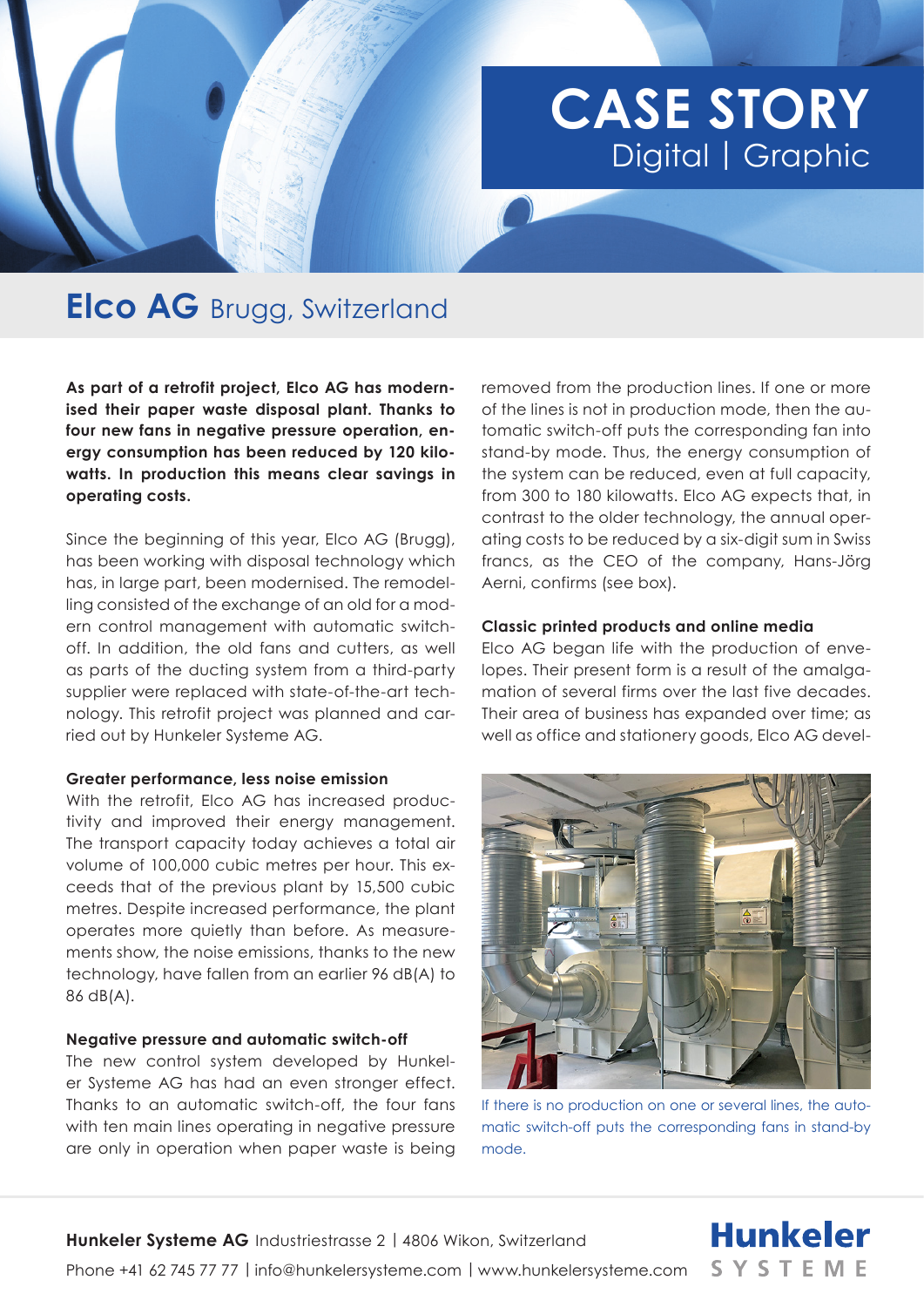# **CASE STORY**  Digital | Graphic

## **Elco AG** Brugg, Switzerland

**As part of a retrofit project, Elco AG has modernised their paper waste disposal plant. Thanks to four new fans in negative pressure operation, energy consumption has been reduced by 120 kilowatts. In production this means clear savings in operating costs.** 

Since the beginning of this year, Elco AG (Brugg), has been working with disposal technology which has, in large part, been modernised. The remodelling consisted of the exchange of an old for a modern control management with automatic switchoff. In addition, the old fans and cutters, as well as parts of the ducting system from a third-party supplier were replaced with state-of-the-art technology. This retrofit project was planned and carried out by Hunkeler Systeme AG.

#### **Greater performance, less noise emission**

With the retrofit, Elco AG has increased productivity and improved their energy management. The transport capacity today achieves a total air volume of 100,000 cubic metres per hour. This exceeds that of the previous plant by 15,500 cubic metres. Despite increased performance, the plant operates more quietly than before. As measurements show, the noise emissions, thanks to the new technology, have fallen from an earlier 96 dB(A) to 86 dB(A).

#### **Negative pressure and automatic switch-off**

The new control system developed by Hunkeler Systeme AG has had an even stronger effect. Thanks to an automatic switch-off, the four fans with ten main lines operating in negative pressure are only in operation when paper waste is being

removed from the production lines. If one or more of the lines is not in production mode, then the automatic switch-off puts the corresponding fan into stand-by mode. Thus, the energy consumption of the system can be reduced, even at full capacity, from 300 to 180 kilowatts. Elco AG expects that, in contrast to the older technology, the annual operating costs to be reduced by a six-digit sum in Swiss francs, as the CEO of the company, Hans-Jörg Aerni, confirms (see box).

#### **Classic printed products and online media**

Elco AG began life with the production of envelopes. Their present form is a result of the amalgamation of several firms over the last five decades. Their area of business has expanded over time; as well as office and stationery goods, Elco AG devel-



If there is no production on one or several lines, the automatic switch-off puts the corresponding fans in stand-by mode.

**Hunkeler** 

**SYSTEME**